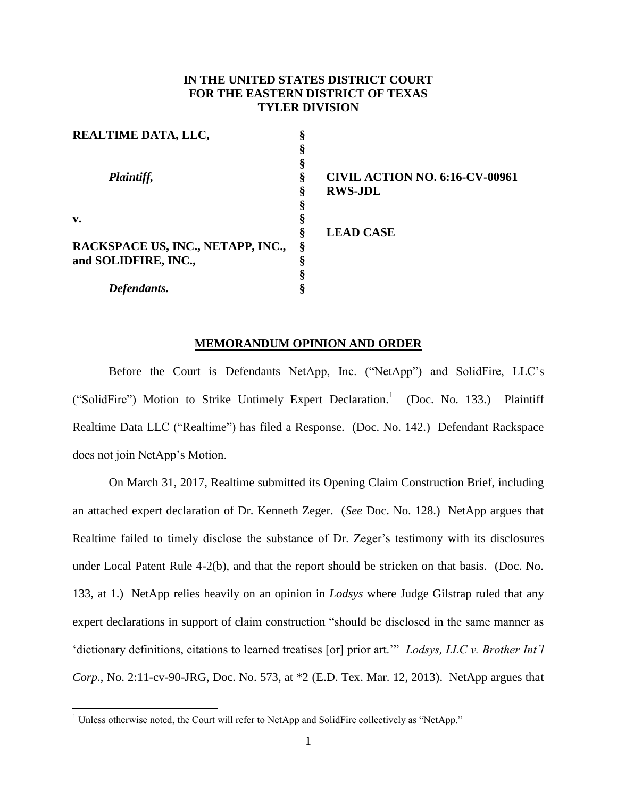## **IN THE UNITED STATES DISTRICT COURT FOR THE EASTERN DISTRICT OF TEXAS TYLER DIVISION**

| <b>REALTIME DATA, LLC,</b>        | ິ |                                       |
|-----------------------------------|---|---------------------------------------|
|                                   |   |                                       |
|                                   |   |                                       |
| Plaintiff,                        | 8 | <b>CIVIL ACTION NO. 6:16-CV-00961</b> |
|                                   | O | <b>RWS-JDL</b>                        |
|                                   |   |                                       |
| v.                                |   |                                       |
|                                   | O | <b>LEAD CASE</b>                      |
| RACKSPACE US, INC., NETAPP, INC., | Ş |                                       |
| and SOLIDFIRE, INC.,              | ິ |                                       |
|                                   |   |                                       |
| Defendants.                       |   |                                       |

## **MEMORANDUM OPINION AND ORDER**

Before the Court is Defendants NetApp, Inc. ("NetApp") and SolidFire, LLC's ("SolidFire") Motion to Strike Untimely Expert Declaration.<sup>1</sup> (Doc. No. 133.) Plaintiff Realtime Data LLC ("Realtime") has filed a Response. (Doc. No. 142.) Defendant Rackspace does not join NetApp's Motion.

On March 31, 2017, Realtime submitted its Opening Claim Construction Brief, including an attached expert declaration of Dr. Kenneth Zeger. (*See* Doc. No. 128.) NetApp argues that Realtime failed to timely disclose the substance of Dr. Zeger's testimony with its disclosures under Local Patent Rule 4-2(b), and that the report should be stricken on that basis. (Doc. No. 133, at 1.) NetApp relies heavily on an opinion in *Lodsys* where Judge Gilstrap ruled that any expert declarations in support of claim construction "should be disclosed in the same manner as 'dictionary definitions, citations to learned treatises [or] prior art.'" *Lodsys, LLC v. Brother Int'l Corp.*, No. 2:11-cv-90-JRG, Doc. No. 573, at \*2 (E.D. Tex. Mar. 12, 2013). NetApp argues that

 $\overline{a}$ 

 $1$  Unless otherwise noted, the Court will refer to NetApp and SolidFire collectively as "NetApp."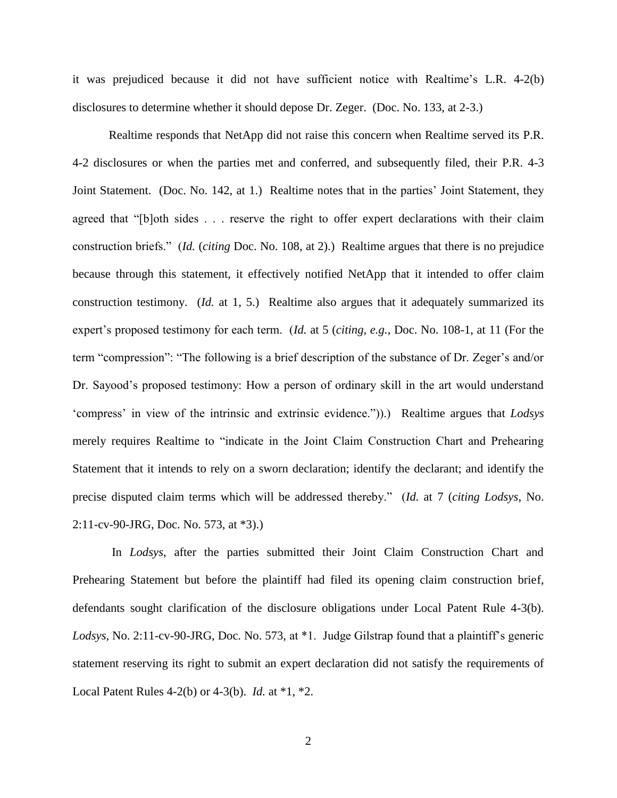it was prejudiced because it did not have sufficient notice with Realtime's L.R. 4-2(b) disclosures to determine whether it should depose Dr. Zeger. (Doc. No. 133, at 2-3.)

Realtime responds that NetApp did not raise this concern when Realtime served its P.R. 4-2 disclosures or when the parties met and conferred, and subsequently filed, their P.R. 4-3 Joint Statement. (Doc. No. 142, at 1.) Realtime notes that in the parties' Joint Statement, they agreed that "[b]oth sides . . . reserve the right to offer expert declarations with their claim construction briefs." (*Id.* (*citing* Doc. No. 108, at 2).) Realtime argues that there is no prejudice because through this statement, it effectively notified NetApp that it intended to offer claim construction testimony. (*Id.* at 1, 5.) Realtime also argues that it adequately summarized its expert's proposed testimony for each term. (*Id.* at 5 (*citing, e.g.*, Doc. No. 108-1, at 11 (For the term "compression": "The following is a brief description of the substance of Dr. Zeger's and/or Dr. Sayood's proposed testimony: How a person of ordinary skill in the art would understand 'compress' in view of the intrinsic and extrinsic evidence.")).) Realtime argues that *Lodsys* merely requires Realtime to "indicate in the Joint Claim Construction Chart and Prehearing Statement that it intends to rely on a sworn declaration; identify the declarant; and identify the precise disputed claim terms which will be addressed thereby." (*Id.* at 7 (*citing Lodsys*, No. 2:11-cv-90-JRG, Doc. No. 573, at \*3).)

In *Lodsys*, after the parties submitted their Joint Claim Construction Chart and Prehearing Statement but before the plaintiff had filed its opening claim construction brief, defendants sought clarification of the disclosure obligations under Local Patent Rule 4-3(b). *Lodsys*, No. 2:11-cv-90-JRG, Doc. No. 573, at \*1. Judge Gilstrap found that a plaintiff's generic statement reserving its right to submit an expert declaration did not satisfy the requirements of Local Patent Rules 4-2(b) or 4-3(b). *Id.* at \*1, \*2.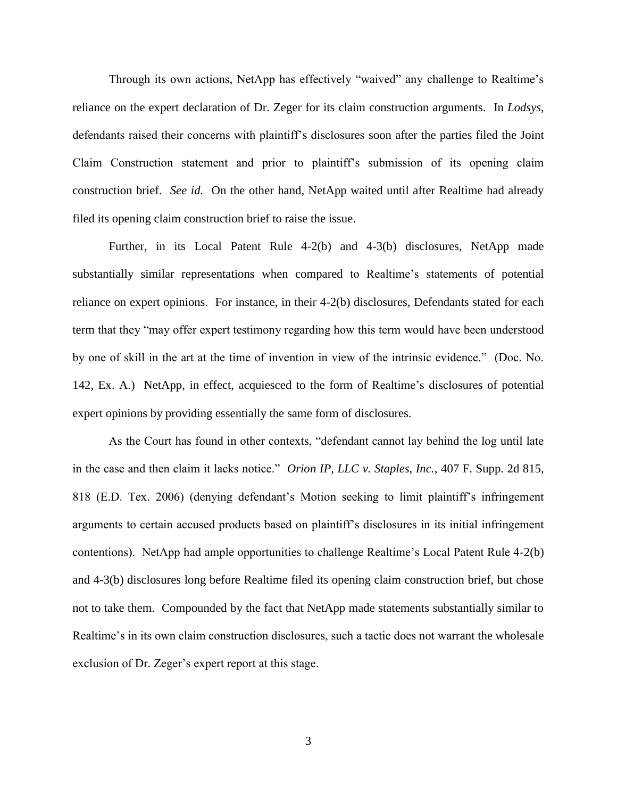Through its own actions, NetApp has effectively "waived" any challenge to Realtime's reliance on the expert declaration of Dr. Zeger for its claim construction arguments. In *Lodsys*, defendants raised their concerns with plaintiff's disclosures soon after the parties filed the Joint Claim Construction statement and prior to plaintiff's submission of its opening claim construction brief. *See id.* On the other hand, NetApp waited until after Realtime had already filed its opening claim construction brief to raise the issue.

Further, in its Local Patent Rule 4-2(b) and 4-3(b) disclosures, NetApp made substantially similar representations when compared to Realtime's statements of potential reliance on expert opinions. For instance, in their 4-2(b) disclosures, Defendants stated for each term that they "may offer expert testimony regarding how this term would have been understood by one of skill in the art at the time of invention in view of the intrinsic evidence." (Doc. No. 142, Ex. A.) NetApp, in effect, acquiesced to the form of Realtime's disclosures of potential expert opinions by providing essentially the same form of disclosures.

As the Court has found in other contexts, "defendant cannot lay behind the log until late in the case and then claim it lacks notice." *Orion IP, LLC v. Staples, Inc.*, 407 F. Supp. 2d 815, 818 (E.D. Tex. 2006) (denying defendant's Motion seeking to limit plaintiff's infringement arguments to certain accused products based on plaintiff's disclosures in its initial infringement contentions). NetApp had ample opportunities to challenge Realtime's Local Patent Rule 4-2(b) and 4-3(b) disclosures long before Realtime filed its opening claim construction brief, but chose not to take them. Compounded by the fact that NetApp made statements substantially similar to Realtime's in its own claim construction disclosures, such a tactic does not warrant the wholesale exclusion of Dr. Zeger's expert report at this stage.